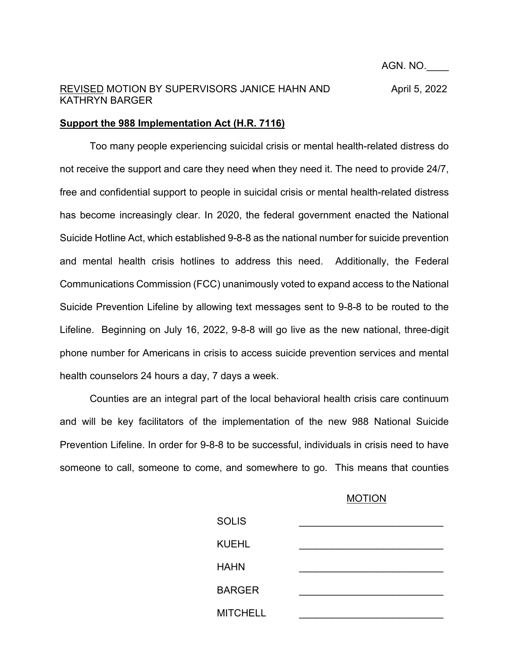## REVISED MOTION BY SUPERVISORS JANICE HAHN AND April 5, 2022 KATHRYN BARGER

## **Support the 988 Implementation Act (H.R. 7116)**

Too many people experiencing suicidal crisis or mental health-related distress do not receive the support and care they need when they need it. The need to provide 24/7, free and confidential support to people in suicidal crisis or mental health-related distress has become increasingly clear. In 2020, the federal government enacted the National Suicide Hotline Act, which established 9-8-8 as the national number for suicide prevention and mental health crisis hotlines to address this need. Additionally, the Federal Communications Commission (FCC) unanimously voted to expand access to the National Suicide Prevention Lifeline by allowing text messages sent to 9-8-8 to be routed to the Lifeline. Beginning on July 16, 2022, 9-8-8 will go live as the new national, three-digit phone number for Americans in crisis to access suicide prevention services and mental health counselors 24 hours a day, 7 days a week.

Counties are an integral part of the local behavioral health crisis care continuum and will be key facilitators of the implementation of the new 988 National Suicide Prevention Lifeline. In order for 9-8-8 to be successful, individuals in crisis need to have someone to call, someone to come, and somewhere to go. This means that counties

## MOTION

| <b>SOLIS</b>    |  |
|-----------------|--|
| <b>KUEHL</b>    |  |
| <b>HAHN</b>     |  |
| <b>BARGER</b>   |  |
| <b>MITCHELL</b> |  |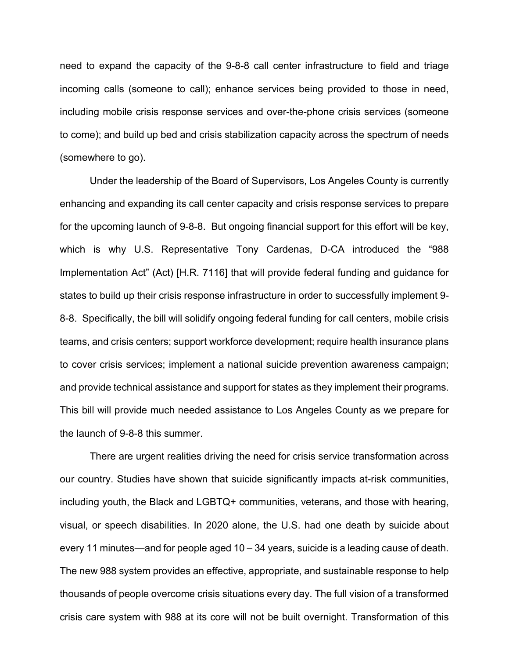need to expand the capacity of the 9-8-8 call center infrastructure to field and triage incoming calls (someone to call); enhance services being provided to those in need, including mobile crisis response services and over-the-phone crisis services (someone to come); and build up bed and crisis stabilization capacity across the spectrum of needs (somewhere to go).

Under the leadership of the Board of Supervisors, Los Angeles County is currently enhancing and expanding its call center capacity and crisis response services to prepare for the upcoming launch of 9-8-8. But ongoing financial support for this effort will be key, which is why U.S. Representative Tony Cardenas, D-CA introduced the "988 Implementation Act" (Act) [H.R. 7116] that will provide federal funding and guidance for states to build up their crisis response infrastructure in order to successfully implement 9- 8-8. Specifically, the bill will solidify ongoing federal funding for call centers, mobile crisis teams, and crisis centers; support workforce development; require health insurance plans to cover crisis services; implement a national suicide prevention awareness campaign; and provide technical assistance and support for states as they implement their programs. This bill will provide much needed assistance to Los Angeles County as we prepare for the launch of 9-8-8 this summer.

There are urgent realities driving the need for crisis service transformation across our country. Studies have shown that suicide significantly impacts at-risk communities, including youth, the Black and LGBTQ+ communities, veterans, and those with hearing, visual, or speech disabilities. In 2020 alone, the U.S. had one death by suicide about every 11 minutes—and for people aged 10 – 34 years, suicide is a leading cause of death. The new 988 system provides an effective, appropriate, and sustainable response to help thousands of people overcome crisis situations every day. The full vision of a transformed crisis care system with 988 at its core will not be built overnight. Transformation of this